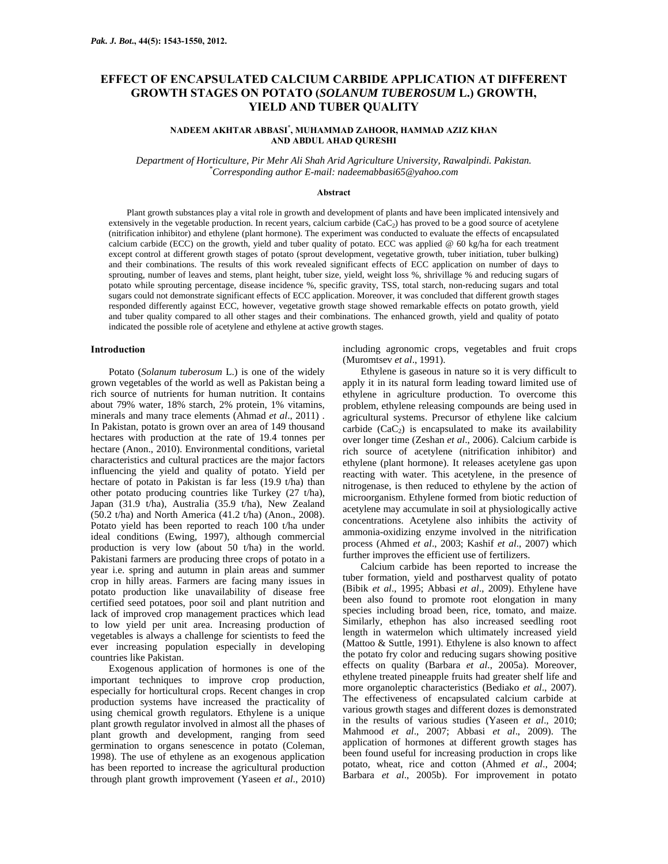# **EFFECT OF ENCAPSULATED CALCIUM CARBIDE APPLICATION AT DIFFERENT GROWTH STAGES ON POTATO (***SOLANUM TUBEROSUM* **L.) GROWTH, YIELD AND TUBER QUALITY**

# **NADEEM AKHTAR ABBASI\* , MUHAMMAD ZAHOOR, HAMMAD AZIZ KHAN AND ABDUL AHAD QURESHI**

*Department of Horticulture, Pir Mehr Ali Shah Arid Agriculture University, Rawalpindi. Pakistan. \* Corresponding author E-mail: nadeemabbasi65@yahoo.com* 

#### **Abstract**

Plant growth substances play a vital role in growth and development of plants and have been implicated intensively and extensively in the vegetable production. In recent years, calcium carbide  $(CaC_2)$  has proved to be a good source of acetylene (nitrification inhibitor) and ethylene (plant hormone). The experiment was conducted to evaluate the effects of encapsulated calcium carbide (ECC) on the growth, yield and tuber quality of potato. ECC was applied @ 60 kg/ha for each treatment except control at different growth stages of potato (sprout development, vegetative growth, tuber initiation, tuber bulking) and their combinations. The results of this work revealed significant effects of ECC application on number of days to sprouting, number of leaves and stems, plant height, tuber size, yield, weight loss %, shrivillage % and reducing sugars of potato while sprouting percentage, disease incidence %, specific gravity, TSS, total starch, non-reducing sugars and total sugars could not demonstrate significant effects of ECC application. Moreover, it was concluded that different growth stages responded differently against ECC, however, vegetative growth stage showed remarkable effects on potato growth, yield and tuber quality compared to all other stages and their combinations. The enhanced growth, yield and quality of potato indicated the possible role of acetylene and ethylene at active growth stages.

### **Introduction**

Potato (*Solanum tuberosum* L.) is one of the widely grown vegetables of the world as well as Pakistan being a rich source of nutrients for human nutrition. It contains about 79% water, 18% starch, 2% protein, 1% vitamins, minerals and many trace elements (Ahmad *et al*., 2011) . In Pakistan, potato is grown over an area of 149 thousand hectares with production at the rate of 19.4 tonnes per hectare (Anon., 2010). Environmental conditions, varietal characteristics and cultural practices are the major factors influencing the yield and quality of potato. Yield per hectare of potato in Pakistan is far less (19.9 t/ha) than other potato producing countries like Turkey (27 t/ha), Japan (31.9 t/ha), Australia (35.9 t/ha), New Zealand (50.2 t/ha) and North America (41.2 t/ha) (Anon., 2008). Potato yield has been reported to reach 100 t/ha under ideal conditions (Ewing, 1997), although commercial production is very low (about 50 t/ha) in the world. Pakistani farmers are producing three crops of potato in a year i.e. spring and autumn in plain areas and summer crop in hilly areas. Farmers are facing many issues in potato production like unavailability of disease free certified seed potatoes, poor soil and plant nutrition and lack of improved crop management practices which lead to low yield per unit area. Increasing production of vegetables is always a challenge for scientists to feed the ever increasing population especially in developing countries like Pakistan.

Exogenous application of hormones is one of the important techniques to improve crop production, especially for horticultural crops. Recent changes in crop production systems have increased the practicality of using chemical growth regulators. Ethylene is a unique plant growth regulator involved in almost all the phases of plant growth and development, ranging from seed germination to organs senescence in potato (Coleman, 1998). The use of ethylene as an exogenous application has been reported to increase the agricultural production through plant growth improvement (Yaseen *et al*., 2010) including agronomic crops, vegetables and fruit crops (Muromtsev *et al*., 1991).

Ethylene is gaseous in nature so it is very difficult to apply it in its natural form leading toward limited use of ethylene in agriculture production. To overcome this problem, ethylene releasing compounds are being used in agricultural systems. Precursor of ethylene like calcium carbide  $(CaC<sub>2</sub>)$  is encapsulated to make its availability over longer time (Zeshan *et al*., 2006). Calcium carbide is rich source of acetylene (nitrification inhibitor) and ethylene (plant hormone). It releases acetylene gas upon reacting with water. This acetylene, in the presence of nitrogenase, is then reduced to ethylene by the action of microorganism. Ethylene formed from biotic reduction of acetylene may accumulate in soil at physiologically active concentrations. Acetylene also inhibits the activity of ammonia-oxidizing enzyme involved in the nitrification process (Ahmed *et al*., 2003; Kashif *et al*., 2007) which further improves the efficient use of fertilizers.

Calcium carbide has been reported to increase the tuber formation, yield and postharvest quality of potato (Bibik *et al*., 1995; Abbasi *et al*., 2009). Ethylene have been also found to promote root elongation in many species including broad been, rice, tomato, and maize. Similarly, ethephon has also increased seedling root length in watermelon which ultimately increased yield (Mattoo & Suttle, 1991). Ethylene is also known to affect the potato fry color and reducing sugars showing positive effects on quality (Barbara *et al*., 2005a). Moreover, ethylene treated pineapple fruits had greater shelf life and more organoleptic characteristics (Bediako *et al*., 2007). The effectiveness of encapsulated calcium carbide at various growth stages and different dozes is demonstrated in the results of various studies (Yaseen *et al*., 2010; Mahmood *et al*., 2007; Abbasi *et al*., 2009). The application of hormones at different growth stages has been found useful for increasing production in crops like potato, wheat, rice and cotton (Ahmed *et al*., 2004; Barbara *et al*., 2005b). For improvement in potato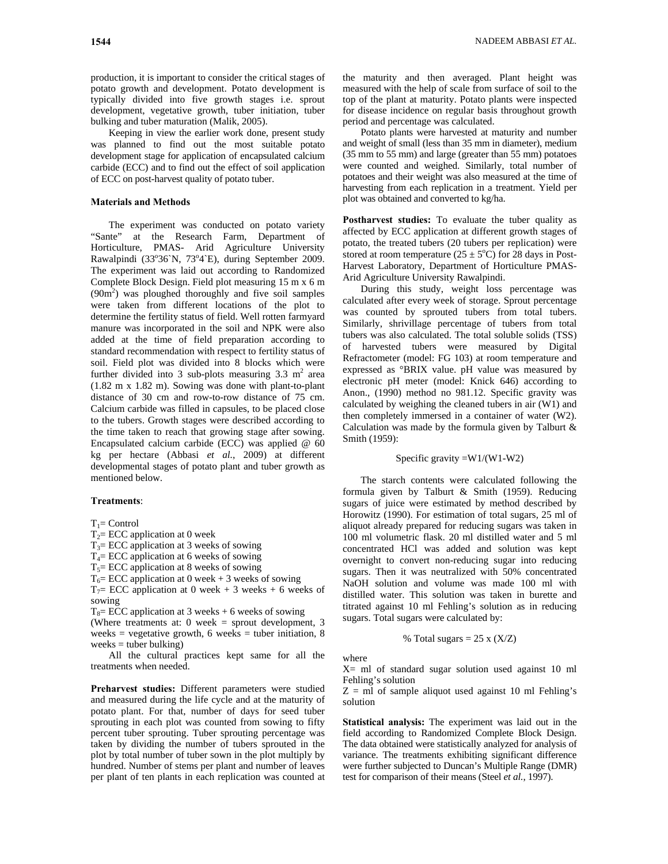**1544** NADEEM ABBASI *ET AL*.

production, it is important to consider the critical stages of potato growth and development. Potato development is typically divided into five growth stages i.e. sprout development, vegetative growth, tuber initiation, tuber bulking and tuber maturation (Malik, 2005).

Keeping in view the earlier work done, present study was planned to find out the most suitable potato development stage for application of encapsulated calcium carbide (ECC) and to find out the effect of soil application of ECC on post-harvest quality of potato tuber.

# **Materials and Methods**

The experiment was conducted on potato variety "Sante" at the Research Farm, Department of Horticulture, PMAS- Arid Agriculture University Rawalpindi (33°36`N, 73°4`E), during September 2009. The experiment was laid out according to Randomized Complete Block Design. Field plot measuring 15 m x 6 m  $(90m<sup>2</sup>)$  was ploughed thoroughly and five soil samples were taken from different locations of the plot to determine the fertility status of field. Well rotten farmyard manure was incorporated in the soil and NPK were also added at the time of field preparation according to standard recommendation with respect to fertility status of soil. Field plot was divided into 8 blocks which were further divided into 3 sub-plots measuring  $3.3 \text{ m}^2$  area (1.82 m x 1.82 m). Sowing was done with plant-to-plant distance of 30 cm and row-to-row distance of 75 cm. Calcium carbide was filled in capsules, to be placed close to the tubers. Growth stages were described according to the time taken to reach that growing stage after sowing. Encapsulated calcium carbide (ECC) was applied @ 60 kg per hectare (Abbasi *et al.*, 2009) at different developmental stages of potato plant and tuber growth as mentioned below.

#### **Treatments**:

 $T_1$ = Control

 $T_2$ = ECC application at 0 week

 $T_3$ = ECC application at 3 weeks of sowing

 $T<sub>4</sub>=$  ECC application at 6 weeks of sowing

 $T<sub>5</sub>=$  ECC application at 8 weeks of sowing

 $T_6$ = ECC application at 0 week + 3 weeks of sowing

 $T_7$ = ECC application at 0 week + 3 weeks + 6 weeks of sowing

 $T_8$ = ECC application at 3 weeks + 6 weeks of sowing

(Where treatments at: 0 week = sprout development, 3 weeks = vegetative growth, 6 weeks = tuber initiation, 8  $weeks = tuber bulking)$ 

All the cultural practices kept same for all the treatments when needed.

**Preharvest studies:** Different parameters were studied and measured during the life cycle and at the maturity of potato plant. For that, number of days for seed tuber sprouting in each plot was counted from sowing to fifty percent tuber sprouting. Tuber sprouting percentage was taken by dividing the number of tubers sprouted in the plot by total number of tuber sown in the plot multiply by hundred. Number of stems per plant and number of leaves per plant of ten plants in each replication was counted at the maturity and then averaged. Plant height was measured with the help of scale from surface of soil to the top of the plant at maturity. Potato plants were inspected for disease incidence on regular basis throughout growth period and percentage was calculated.

Potato plants were harvested at maturity and number and weight of small (less than 35 mm in diameter), medium (35 mm to 55 mm) and large (greater than 55 mm) potatoes were counted and weighed. Similarly, total number of potatoes and their weight was also measured at the time of harvesting from each replication in a treatment. Yield per plot was obtained and converted to kg/ha.

**Postharvest studies:** To evaluate the tuber quality as affected by ECC application at different growth stages of potato, the treated tubers (20 tubers per replication) were stored at room temperature  $(25 \pm 5^{\circ}\text{C})$  for 28 days in Post-Harvest Laboratory, Department of Horticulture PMAS-Arid Agriculture University Rawalpindi.

During this study, weight loss percentage was calculated after every week of storage. Sprout percentage was counted by sprouted tubers from total tubers. Similarly, shrivillage percentage of tubers from total tubers was also calculated. The total soluble solids (TSS) of harvested tubers were measured by Digital Refractometer (model: FG 103) at room temperature and expressed as °BRIX value. pH value was measured by electronic pH meter (model: Knick 646) according to Anon., (1990) method no 981.12. Specific gravity was calculated by weighing the cleaned tubers in air (W1) and then completely immersed in a container of water (W2). Calculation was made by the formula given by Talburt  $\&$ Smith (1959):

Specific gravity  $=W1/(W1-W2)$ 

The starch contents were calculated following the formula given by Talburt & Smith (1959). Reducing sugars of juice were estimated by method described by Horowitz (1990). For estimation of total sugars, 25 ml of aliquot already prepared for reducing sugars was taken in 100 ml volumetric flask. 20 ml distilled water and 5 ml concentrated HCl was added and solution was kept overnight to convert non-reducing sugar into reducing sugars. Then it was neutralized with 50% concentrated NaOH solution and volume was made 100 ml with distilled water. This solution was taken in burette and titrated against 10 ml Fehling's solution as in reducing sugars. Total sugars were calculated by:

% Total sugars = 
$$
25 \times (X/Z)
$$

where

X= ml of standard sugar solution used against 10 ml Fehling's solution

 $Z = ml$  of sample aliquot used against 10 ml Fehling's solution

**Statistical analysis:** The experiment was laid out in the field according to Randomized Complete Block Design. The data obtained were statistically analyzed for analysis of variance. The treatments exhibiting significant difference were further subjected to Duncan's Multiple Range (DMR) test for comparison of their means (Steel *et al.*, 1997).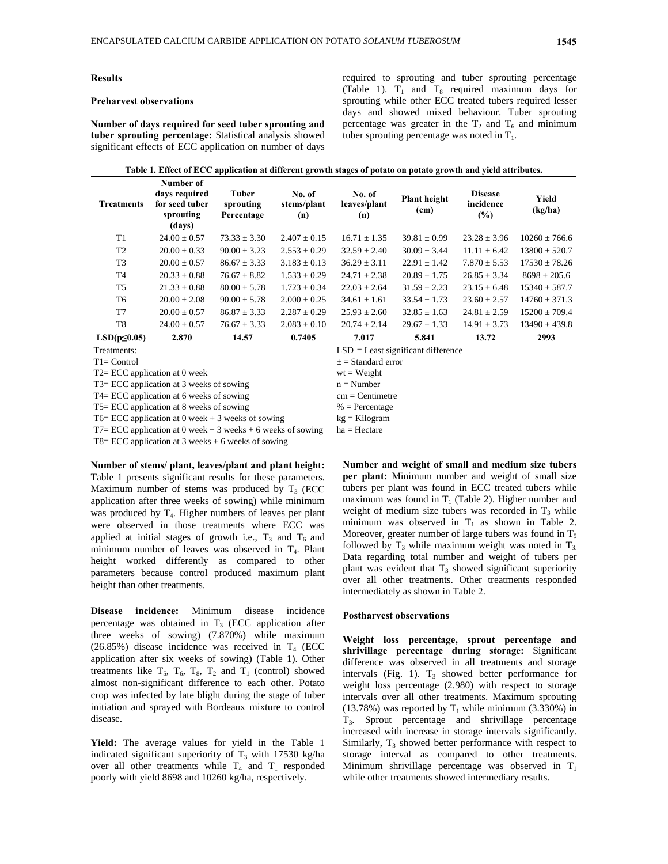#### **Results**

### **Preharvest observations**

**Number of days required for seed tuber sprouting and tuber sprouting percentage:** Statistical analysis showed significant effects of ECC application on number of days required to sprouting and tuber sprouting percentage (Table 1).  $T_1$  and  $T_8$  required maximum days for sprouting while other ECC treated tubers required lesser days and showed mixed behaviour. Tuber sprouting percentage was greater in the  $T_2$  and  $T_6$  and minimum tuber sprouting percentage was noted in  $T_1$ .

|                    |                                                                     | . .                                  | -                            | -<br>$\mathbf{r}$             | -                           | $\cdot$                            |                   |  |  |  |  |
|--------------------|---------------------------------------------------------------------|--------------------------------------|------------------------------|-------------------------------|-----------------------------|------------------------------------|-------------------|--|--|--|--|
| <b>Treatments</b>  | Number of<br>days required<br>for seed tuber<br>sprouting<br>(days) | Tuber<br>sprouting<br>Percentage     | No. of<br>stems/plant<br>(n) | No. of<br>leaves/plant<br>(n) | <b>Plant height</b><br>(cm) | <b>Disease</b><br>incidence<br>(%) | Yield<br>(kg/ha)  |  |  |  |  |
| T1                 | $24.00 \pm 0.57$                                                    | $73.33 \pm 3.30$                     | $2.407 \pm 0.15$             | $16.71 \pm 1.35$              | $39.81 \pm 0.99$            | $23.28 \pm 3.96$                   | $10260 \pm 766.6$ |  |  |  |  |
| T <sub>2</sub>     | $20.00 \pm 0.33$                                                    | $90.00 \pm 3.23$                     | $2.553 \pm 0.29$             | $32.59 \pm 2.40$              | $30.09 \pm 3.44$            | $11.11 \pm 6.42$                   | $13800 \pm 520.7$ |  |  |  |  |
| T <sub>3</sub>     | $20.00 + 0.57$                                                      | $86.67 \pm 3.33$                     | $3.183 \pm 0.13$             | $36.29 \pm 3.11$              | $22.91 + 1.42$              | $7.870 \pm 5.53$                   | $17530 + 78.26$   |  |  |  |  |
| T <sub>4</sub>     | $20.33 \pm 0.88$                                                    | $76.67 \pm 8.82$                     | $1.533 \pm 0.29$             | $24.71 \pm 2.38$              | $20.89 \pm 1.75$            | $26.85 \pm 3.34$                   | $8698 \pm 205.6$  |  |  |  |  |
| T <sub>5</sub>     | $21.33 \pm 0.88$                                                    | $80.00 \pm 5.78$                     | $1.723 \pm 0.34$             | $22.03 \pm 2.64$              | $31.59 \pm 2.23$            | $23.15 \pm 6.48$                   | $15340 + 587.7$   |  |  |  |  |
| T <sub>6</sub>     | $20.00 \pm 2.08$                                                    | $90.00 \pm 5.78$                     | $2.000 + 0.25$               | $34.61 + 1.61$                | $33.54 + 1.73$              | $23.60 \pm 2.57$                   | $14760 + 371.3$   |  |  |  |  |
| T <sub>7</sub>     | $20.00 + 0.57$                                                      | $86.87 \pm 3.33$                     | $2.287 \pm 0.29$             | $25.93 \pm 2.60$              | $32.85 + 1.63$              | $24.81 \pm 2.59$                   | $15200 + 709.4$   |  |  |  |  |
| T8                 | $24.00 \pm 0.57$                                                    | $76.67 \pm 3.33$                     | $2.083 \pm 0.10$             | $20.74 \pm 2.14$              | $29.67 \pm 1.33$            | $14.91 \pm 3.73$                   | $13490 \pm 439.8$ |  |  |  |  |
| $LSD(p \leq 0.05)$ | 2.870                                                               | 14.57                                | 0.7405                       | 7.017                         | 5.841                       | 13.72                              | 2993              |  |  |  |  |
| Treatments:        |                                                                     | $LSD = Least$ significant difference |                              |                               |                             |                                    |                   |  |  |  |  |

 $\pm$  = Standard error  $wt = Weight$  $n = Number$ cm = Centimetre  $%$  = Percentage kg = Kilogram ha = Hectare

**Table 1. Effect of ECC application at different growth stages of potato on potato growth and yield attributes.** 

Treatments:

T1= Control

T2= ECC application at 0 week

T3= ECC application at 3 weeks of sowing

T4= ECC application at 6 weeks of sowing

T5= ECC application at 8 weeks of sowing

T6= ECC application at 0 week + 3 weeks of sowing

T7= ECC application at 0 week  $+3$  weeks  $+6$  weeks of sowing

T8= ECC application at  $3$  weeks + 6 weeks of sowing

**Number of stems/ plant, leaves/plant and plant height:** Table 1 presents significant results for these parameters. Maximum number of stems was produced by  $T_3$  (ECC application after three weeks of sowing) while minimum was produced by  $T_4$ . Higher numbers of leaves per plant were observed in those treatments where ECC was applied at initial stages of growth i.e.,  $T_3$  and  $T_6$  and minimum number of leaves was observed in T4. Plant height worked differently as compared to other parameters because control produced maximum plant height than other treatments.

**Disease incidence:** Minimum disease incidence percentage was obtained in  $T_3$  (ECC application after three weeks of sowing) (7.870%) while maximum  $(26.85%)$  disease incidence was received in T<sub>4</sub> (ECC) application after six weeks of sowing) (Table 1). Other treatments like  $T_5$ ,  $T_6$ ,  $T_8$ ,  $T_2$  and  $T_1$  (control) showed almost non-significant difference to each other. Potato crop was infected by late blight during the stage of tuber initiation and sprayed with Bordeaux mixture to control disease.

**Yield:** The average values for yield in the Table 1 indicated significant superiority of  $T_3$  with 17530 kg/ha over all other treatments while  $T_4$  and  $T_1$  responded poorly with yield 8698 and 10260 kg/ha, respectively.

**Number and weight of small and medium size tubers per plant:** Minimum number and weight of small size tubers per plant was found in ECC treated tubers while maximum was found in  $T_1$  (Table 2). Higher number and weight of medium size tubers was recorded in  $T_3$  while minimum was observed in  $T_1$  as shown in Table 2. Moreover, greater number of large tubers was found in  $T_5$ followed by  $T_3$  while maximum weight was noted in  $T_3$ . Data regarding total number and weight of tubers per plant was evident that  $T_3$  showed significant superiority over all other treatments. Other treatments responded intermediately as shown in Table 2.

#### **Postharvest observations**

**Weight loss percentage, sprout percentage and shrivillage percentage during storage:** Significant difference was observed in all treatments and storage intervals (Fig. 1).  $T_3$  showed better performance for weight loss percentage (2.980) with respect to storage intervals over all other treatments. Maximum sprouting  $(13.78%)$  was reported by T<sub>1</sub> while minimum  $(3.330%)$  in T3. Sprout percentage and shrivillage percentage increased with increase in storage intervals significantly. Similarly,  $T_3$  showed better performance with respect to storage interval as compared to other treatments. Minimum shrivillage percentage was observed in  $T_1$ while other treatments showed intermediary results.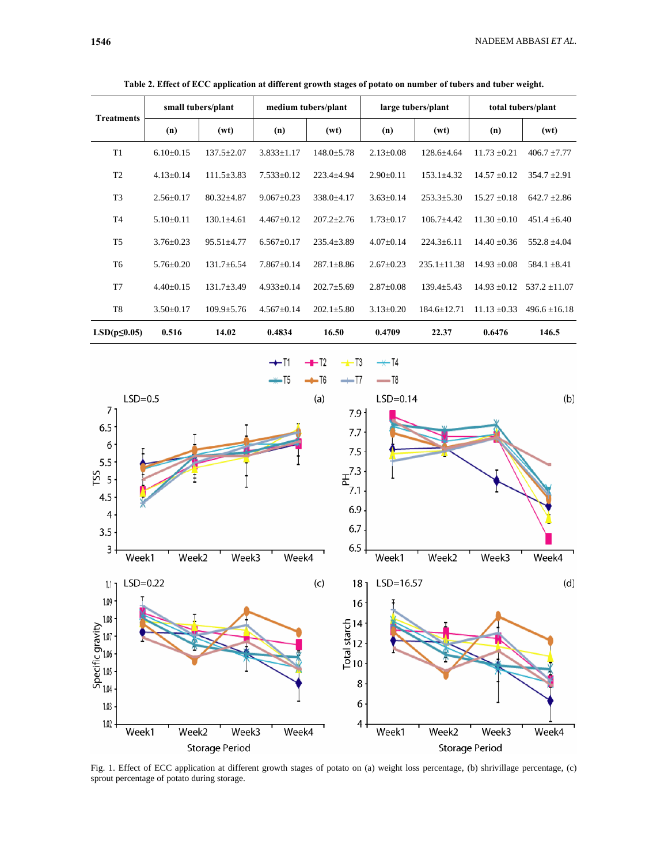| Table 2. Effect of ECC application at different growth stages of potato on number of tubers and tuber weight. |                    |                  |                     |                  |                    |                 |                    |                  |  |  |  |  |
|---------------------------------------------------------------------------------------------------------------|--------------------|------------------|---------------------|------------------|--------------------|-----------------|--------------------|------------------|--|--|--|--|
| Treatments                                                                                                    | small tubers/plant |                  | medium tubers/plant |                  | large tubers/plant |                 | total tubers/plant |                  |  |  |  |  |
|                                                                                                               | (n)                | (wt)             | (n)                 | (wt)             | (n)                | (wt)            | (n)                | (wt)             |  |  |  |  |
| T <sub>1</sub>                                                                                                | $6.10\pm0.15$      | $137.5 + 2.07$   | $3.833 \pm 1.17$    | $148.0 + 5.78$   | $2.13 + 0.08$      | $128.6 + 4.64$  | $11.73 + 0.21$     | $406.7 \pm 7.77$ |  |  |  |  |
| T <sub>2</sub>                                                                                                | $4.13+0.14$        | $111.5 + 3.83$   | $7.533+0.12$        | $223.4 + 4.94$   | $2.90+0.11$        | $153.1 + 4.32$  | $14.57 + 0.12$     | $354.7 + 2.91$   |  |  |  |  |
| T <sub>3</sub>                                                                                                | $2.56 + 0.17$      | $80.32 + 4.87$   | $9.067 + 0.23$      | $338.0 + 4.17$   | $3.63 \pm 0.14$    | $253.3 + 5.30$  | $15.27 + 0.18$     | $642.7 + 2.86$   |  |  |  |  |
| T <sub>4</sub>                                                                                                | $5.10+0.11$        | $130.1 \pm 4.61$ | $4.467+0.12$        | $207.2 + 2.76$   | $1.73 + 0.17$      | $106.7 + 4.42$  | $11.30 + 0.10$     | $451.4 + 6.40$   |  |  |  |  |
| T <sub>5</sub>                                                                                                | $3.76 + 0.23$      | $95.51 + 4.77$   | $6.567+0.17$        | $235.4 + 3.89$   | $4.07+0.14$        | $224.3 + 6.11$  | $14.40 + 0.36$     | $552.8 + 4.04$   |  |  |  |  |
| T6                                                                                                            | $5.76 + 0.20$      | $131.7 + 6.54$   | $7.867+0.14$        | $287.1 \pm 8.86$ | $2.67+0.23$        | $235.1 + 11.38$ | $14.93 + 0.08$     | $584.1 \pm 8.41$ |  |  |  |  |
|                                                                                                               |                    |                  |                     |                  |                    |                 |                    |                  |  |  |  |  |

 ${\bf T7} \qquad \qquad 4.40 \pm 0.15 \qquad \ 131.7 \pm 3.49 \qquad \ 4.933 \pm 0.14 \qquad \ 202.7 \pm 5.69 \qquad \ 2.87 \pm 0.08 \qquad \ 139.4 \pm 5.43 \qquad \ 14.93 \pm 0.12 \qquad \ 537.2 \pm 11.07$ 

 $\text{ T8 } \qquad \qquad 3.50 \pm 0.17 \qquad 109.9 \pm 5.76 \qquad 4.567 \pm 0.14 \qquad 202.1 \pm 5.80 \qquad 3.13 \pm 0.20 \qquad 184.6 \pm 12.71 \quad \ 11.13 \pm 0.33 \qquad 496.6 \pm 16.18 \pm 0.11 \pm 0.11 \pm 0.11 \pm 0.11 \pm 0.11 \pm 0.11 \pm 0.11 \pm 0.11 \pm 0.11 \pm 0.11 \pm 0.11 \pm 0.1$ 

**LSD(p≤0.05) 0.516 14.02 0.4834 16.50 0.4709 22.37 0.6476 146.5** 



Fig. 1. Effect of ECC application at different growth stages of potato on (a) weight loss percentage, (b) shrivillage percentage, (c) sprout percentage of potato during storage.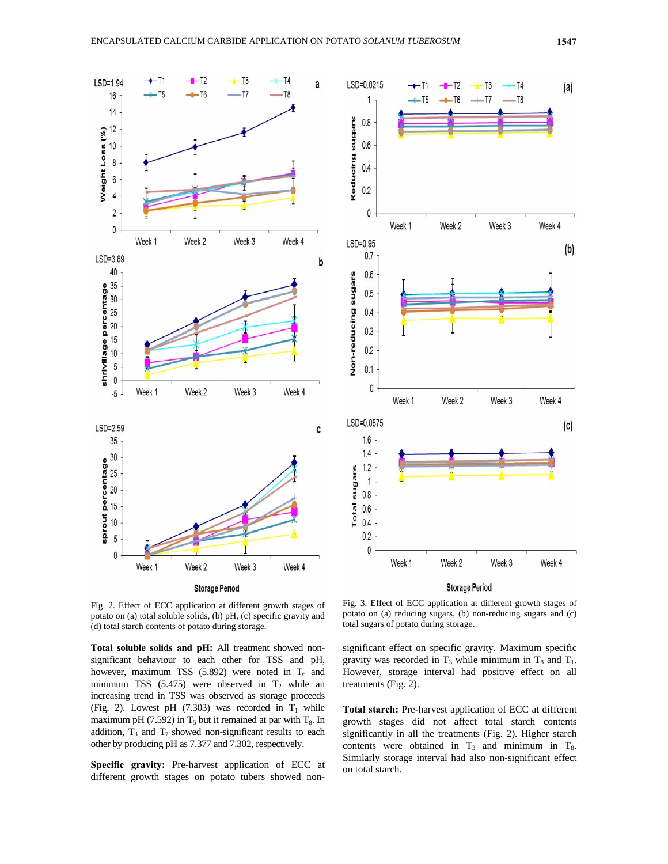



Fig. 2. Effect of ECC application at different growth stages of potato on (a) total soluble solids, (b) pH, (c) specific gravity and (d) total starch contents of potato during storage.

**Total soluble solids and pH:** All treatment showed nonsignificant behaviour to each other for TSS and pH, however, maximum TSS (5.892) were noted in  $T_6$  and minimum TSS  $(5.475)$  were observed in T<sub>2</sub> while an increasing trend in TSS was observed as storage proceeds (Fig. 2). Lowest pH  $(7.303)$  was recorded in  $T_1$  while maximum pH (7.592) in  $T_5$  but it remained at par with  $T_8$ . In addition,  $T_3$  and  $T_7$  showed non-significant results to each other by producing pH as 7.377 and 7.302, respectively.

**Specific gravity:** Pre-harvest application of ECC at different growth stages on potato tubers showed non-

Fig. 3. Effect of ECC application at different growth stages of potato on (a) reducing sugars, (b) non-reducing sugars and (c) total sugars of potato during storage.

significant effect on specific gravity. Maximum specific gravity was recorded in  $T_3$  while minimum in  $T_8$  and  $T_1$ . However, storage interval had positive effect on all treatments (Fig. 2).

**Total starch:** Pre-harvest application of ECC at different growth stages did not affect total starch contents significantly in all the treatments (Fig. 2). Higher starch contents were obtained in  $T_3$  and minimum in  $T_8$ . Similarly storage interval had also non-significant effect on total starch.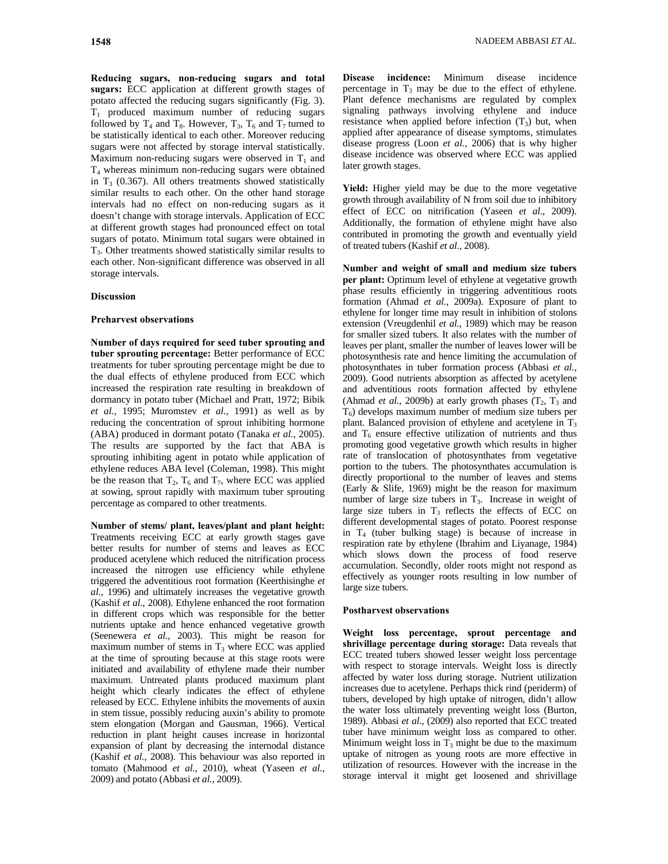**Reducing sugars, non-reducing sugars and total sugars:** ECC application at different growth stages of potato affected the reducing sugars significantly (Fig. 3).  $T_1$  produced maximum number of reducing sugars followed by  $T_4$  and  $T_8$ . However,  $T_3$ ,  $T_6$  and  $T_7$  turned to be statistically identical to each other. Moreover reducing sugars were not affected by storage interval statistically. Maximum non-reducing sugars were observed in  $T_1$  and T4 whereas minimum non-reducing sugars were obtained in  $T_3$  (0.367). All others treatments showed statistically similar results to each other. On the other hand storage intervals had no effect on non-reducing sugars as it doesn't change with storage intervals. Application of ECC at different growth stages had pronounced effect on total sugars of potato. Minimum total sugars were obtained in  $T<sub>3</sub>$ . Other treatments showed statistically similar results to each other. Non-significant difference was observed in all storage intervals.

### **Discussion**

#### **Preharvest observations**

**Number of days required for seed tuber sprouting and tuber sprouting percentage:** Better performance of ECC treatments for tuber sprouting percentage might be due to the dual effects of ethylene produced from ECC which increased the respiration rate resulting in breakdown of dormancy in potato tuber (Michael and Pratt, 1972; Bibik *et al.*, 1995; Muromstev *et al.*, 1991) as well as by reducing the concentration of sprout inhibiting hormone (ABA) produced in dormant potato (Tanaka *et al.*, 2005). The results are supported by the fact that ABA is sprouting inhibiting agent in potato while application of ethylene reduces ABA level (Coleman, 1998). This might be the reason that  $T_2$ ,  $T_6$  and  $T_7$ , where ECC was applied at sowing, sprout rapidly with maximum tuber sprouting percentage as compared to other treatments.

**Number of stems/ plant, leaves/plant and plant height:**  Treatments receiving ECC at early growth stages gave better results for number of stems and leaves as ECC produced acetylene which reduced the nitrification process increased the nitrogen use efficiency while ethylene triggered the adventitious root formation (Keerthisinghe *et al.*, 1996) and ultimately increases the vegetative growth (Kashif *et al.*, 2008). Ethylene enhanced the root formation in different crops which was responsible for the better nutrients uptake and hence enhanced vegetative growth (Seenewera *et al.*, 2003). This might be reason for maximum number of stems in  $T_3$  where ECC was applied at the time of sprouting because at this stage roots were initiated and availability of ethylene made their number maximum. Untreated plants produced maximum plant height which clearly indicates the effect of ethylene released by ECC. Ethylene inhibits the movements of auxin in stem tissue, possibly reducing auxin's ability to promote stem elongation (Morgan and Gausman, 1966). Vertical reduction in plant height causes increase in horizontal expansion of plant by decreasing the internodal distance (Kashif *et al.*, 2008). This behaviour was also reported in tomato (Mahmood *et al.*, 2010), wheat (Yaseen *et al.*, 2009) and potato (Abbasi *et al.*, 2009).

**Disease incidence:** Minimum disease incidence percentage in  $T_3$  may be due to the effect of ethylene. Plant defence mechanisms are regulated by complex signaling pathways involving ethylene and induce resistance when applied before infection  $(T_3)$  but, when applied after appearance of disease symptoms, stimulates disease progress (Loon *et al.*, 2006) that is why higher disease incidence was observed where ECC was applied later growth stages.

**Yield:** Higher yield may be due to the more vegetative growth through availability of N from soil due to inhibitory effect of ECC on nitrification (Yaseen *et al.*, 2009). Additionally, the formation of ethylene might have also contributed in promoting the growth and eventually yield of treated tubers (Kashif *et al.*, 2008).

**Number and weight of small and medium size tubers per plant:** Optimum level of ethylene at vegetative growth phase results efficiently in triggering adventitious roots formation (Ahmad *et al.*, 2009a). Exposure of plant to ethylene for longer time may result in inhibition of stolons extension (Vreugdenhil *et al.*, 1989) which may be reason for smaller sized tubers. It also relates with the number of leaves per plant, smaller the number of leaves lower will be photosynthesis rate and hence limiting the accumulation of photosynthates in tuber formation process (Abbasi *et al.*, 2009). Good nutrients absorption as affected by acetylene and adventitious roots formation affected by ethylene (Ahmad *et al.*, 2009b) at early growth phases  $(T_2, T_3, T_4)$  $T<sub>6</sub>$ ) develops maximum number of medium size tubers per plant. Balanced provision of ethylene and acetylene in  $T_3$ and  $T_6$  ensure effective utilization of nutrients and thus promoting good vegetative growth which results in higher rate of translocation of photosynthates from vegetative portion to the tubers. The photosynthates accumulation is directly proportional to the number of leaves and stems (Early & Slife, 1969) might be the reason for maximum number of large size tubers in  $T_3$ . Increase in weight of large size tubers in  $T_3$  reflects the effects of ECC on different developmental stages of potato. Poorest response in  $T_4$  (tuber bulking stage) is because of increase in respiration rate by ethylene (Ibrahim and Liyanage, 1984) which slows down the process of food reserve accumulation. Secondly, older roots might not respond as effectively as younger roots resulting in low number of large size tubers.

# **Postharvest observations**

**Weight loss percentage, sprout percentage and shrivillage percentage during storage:** Data reveals that ECC treated tubers showed lesser weight loss percentage with respect to storage intervals. Weight loss is directly affected by water loss during storage. Nutrient utilization increases due to acetylene. Perhaps thick rind (periderm) of tubers, developed by high uptake of nitrogen, didn't allow the water loss ultimately preventing weight loss (Burton, 1989). Abbasi *et al*., (2009) also reported that ECC treated tuber have minimum weight loss as compared to other. Minimum weight loss in  $T_3$  might be due to the maximum uptake of nitrogen as young roots are more effective in utilization of resources. However with the increase in the storage interval it might get loosened and shrivillage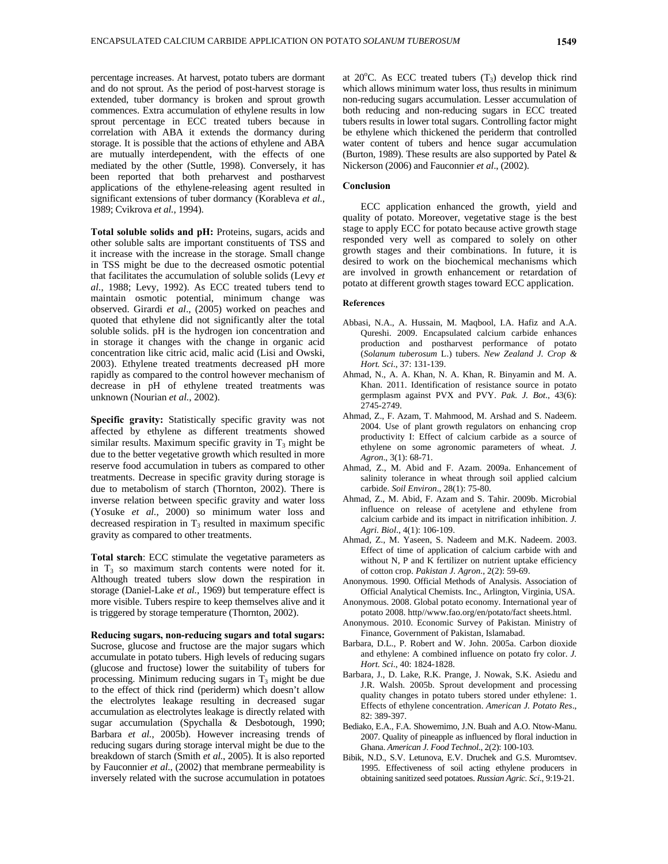percentage increases. At harvest, potato tubers are dormant and do not sprout. As the period of post-harvest storage is extended, tuber dormancy is broken and sprout growth commences. Extra accumulation of ethylene results in low sprout percentage in ECC treated tubers because in correlation with ABA it extends the dormancy during storage. It is possible that the actions of ethylene and ABA are mutually interdependent, with the effects of one mediated by the other (Suttle, 1998). Conversely, it has been reported that both preharvest and postharvest applications of the ethylene-releasing agent resulted in significant extensions of tuber dormancy (Korableva *et al.*, 1989; Cvikrova *et al.*, 1994).

**Total soluble solids and pH:** Proteins, sugars, acids and other soluble salts are important constituents of TSS and it increase with the increase in the storage. Small change in TSS might be due to the decreased osmotic potential that facilitates the accumulation of soluble solids (Levy *et al.*, 1988; Levy, 1992). As ECC treated tubers tend to maintain osmotic potential, minimum change was observed. Girardi *et al*., (2005) worked on peaches and quoted that ethylene did not significantly alter the total soluble solids. pH is the hydrogen ion concentration and in storage it changes with the change in organic acid concentration like citric acid, malic acid (Lisi and Owski, 2003). Ethylene treated treatments decreased pH more rapidly as compared to the control however mechanism of decrease in pH of ethylene treated treatments was unknown (Nourian *et al.*, 2002).

**Specific gravity:** Statistically specific gravity was not affected by ethylene as different treatments showed similar results. Maximum specific gravity in  $T_3$  might be due to the better vegetative growth which resulted in more reserve food accumulation in tubers as compared to other treatments. Decrease in specific gravity during storage is due to metabolism of starch (Thornton, 2002). There is inverse relation between specific gravity and water loss (Yosuke *et al.*, 2000) so minimum water loss and decreased respiration in  $T_3$  resulted in maximum specific gravity as compared to other treatments.

**Total starch**: ECC stimulate the vegetative parameters as in  $T_3$  so maximum starch contents were noted for it. Although treated tubers slow down the respiration in storage (Daniel-Lake *et al.*, 1969) but temperature effect is more visible. Tubers respire to keep themselves alive and it is triggered by storage temperature (Thornton, 2002).

**Reducing sugars, non-reducing sugars and total sugars:**  Sucrose, glucose and fructose are the major sugars which accumulate in potato tubers. High levels of reducing sugars (glucose and fructose) lower the suitability of tubers for processing. Minimum reducing sugars in  $T_3$  might be due to the effect of thick rind (periderm) which doesn't allow the electrolytes leakage resulting in decreased sugar accumulation as electrolytes leakage is directly related with sugar accumulation (Spychalla & Desbotough, 1990; Barbara *et al.*, 2005b). However increasing trends of reducing sugars during storage interval might be due to the breakdown of starch (Smith *et al.*, 2005). It is also reported by Fauconnier *et al*., (2002) that membrane permeability is inversely related with the sucrose accumulation in potatoes

at  $20^{\circ}$ C. As ECC treated tubers  $(T_3)$  develop thick rind which allows minimum water loss, thus results in minimum non-reducing sugars accumulation. Lesser accumulation of both reducing and non-reducing sugars in ECC treated tubers results in lower total sugars. Controlling factor might be ethylene which thickened the periderm that controlled water content of tubers and hence sugar accumulation (Burton, 1989). These results are also supported by Patel & Nickerson (2006) and Fauconnier *et al*., (2002).

### **Conclusion**

ECC application enhanced the growth, yield and quality of potato. Moreover, vegetative stage is the best stage to apply ECC for potato because active growth stage responded very well as compared to solely on other growth stages and their combinations. In future, it is desired to work on the biochemical mechanisms which are involved in growth enhancement or retardation of potato at different growth stages toward ECC application.

#### **References**

- Abbasi, N.A., A. Hussain, M. Maqbool, I.A. Hafiz and A.A. Qureshi. 2009. Encapsulated calcium carbide enhances production and postharvest performance of potato (*Solanum tuberosum* L.) tubers. *New Zealand J. Crop & Hort. Sci*., 37: 131-139.
- Ahmad, N., A. A. Khan, N. A. Khan, R. Binyamin and M. A. Khan. 2011. Identification of resistance source in potato germplasm against PVX and PVY. *Pak. J. Bot*., 43(6): 2745-2749.
- Ahmad, Z., F. Azam, T. Mahmood, M. Arshad and S. Nadeem. 2004. Use of plant growth regulators on enhancing crop productivity I: Effect of calcium carbide as a source of ethylene on some agronomic parameters of wheat. *J. Agron*., 3(1): 68-71.
- Ahmad, Z., M. Abid and F. Azam. 2009a. Enhancement of salinity tolerance in wheat through soil applied calcium carbide. *Soil Environ*., 28(1): 75-80.
- Ahmad, Z., M. Abid, F. Azam and S. Tahir. 2009b. Microbial influence on release of acetylene and ethylene from calcium carbide and its impact in nitrification inhibition. *J. Agri. Biol*., 4(1): 106-109.
- Ahmad, Z., M. Yaseen, S. Nadeem and M.K. Nadeem. 2003. Effect of time of application of calcium carbide with and without N, P and K fertilizer on nutrient uptake efficiency of cotton crop. *Pakistan J. Agron*., 2(2): 59-69.
- Anonymous. 1990. Official Methods of Analysis. Association of Official Analytical Chemists. Inc., Arlington, Virginia, USA.
- Anonymous. 2008. Global potato economy. International year of potato 2008. http//www.fao.org/en/potato/fact sheets.html.
- Anonymous. 2010. Economic Survey of Pakistan. Ministry of Finance, Government of Pakistan, Islamabad.
- Barbara, D.L., P. Robert and W. John. 2005a. Carbon dioxide and ethylene: A combined influence on potato fry color. *J. Hort. Sci*., 40: 1824-1828.
- Barbara, J., D. Lake, R.K. Prange, J. Nowak, S.K. Asiedu and J.R. Walsh. 2005b. Sprout development and processing quality changes in potato tubers stored under ethylene: 1. Effects of ethylene concentration. *American J. Potato Res*., 82: 389-397.
- Bediako, E.A., F.A. Showemimo, J.N. Buah and A.O. Ntow-Manu. 2007. Quality of pineapple as influenced by floral induction in Ghana. *American J. Food Technol*., 2(2): 100-103.
- Bibik, N.D., S.V. Letunova, E.V. Druchek and G.S. Muromtsev. 1995. Effectiveness of soil acting ethylene producers in obtaining sanitized seed potatoes. *Russian Agric. Sci*., 9:19-21.